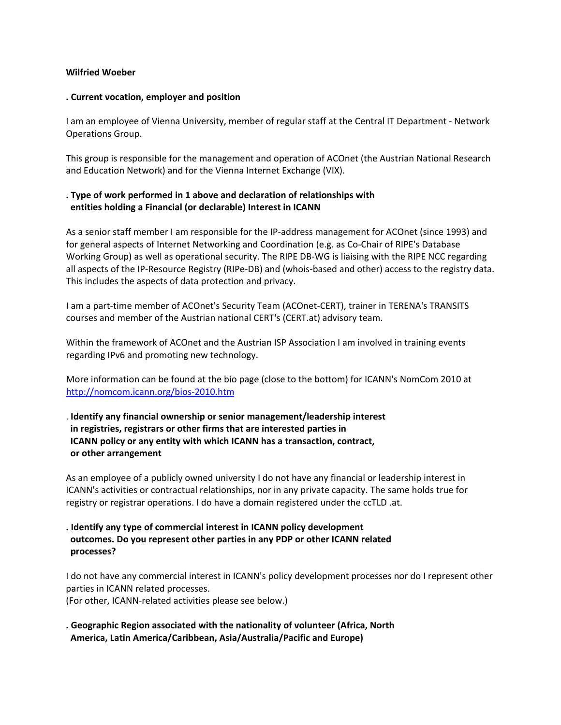#### **Wilfried Woeber**

#### **. Current vocation, employer and position**

I am an employee of Vienna University, member of regular staff at the Central IT Department ‐ Network Operations Group.

This group is responsible for the management and operation of ACOnet (the Austrian National Research and Education Network) and for the Vienna Internet Exchange (VIX).

## **. Type of work performed in 1 above and declaration of relationships with entities holding a Financial (or declarable) Interest in ICANN**

As a senior staff member I am responsible for the IP‐address management for ACOnet (since 1993) and for general aspects of Internet Networking and Coordination (e.g. as Co‐Chair of RIPE's Database Working Group) as well as operational security. The RIPE DB‐WG is liaising with the RIPE NCC regarding all aspects of the IP‐Resource Registry (RIPe‐DB) and (whois‐based and other) access to the registry data. This includes the aspects of data protection and privacy.

I am a part‐time member of ACOnet's Security Team (ACOnet‐CERT), trainer in TERENA's TRANSITS courses and member of the Austrian national CERT's (CERT.at) advisory team.

Within the framework of ACOnet and the Austrian ISP Association I am involved in training events regarding IPv6 and promoting new technology.

More information can be found at the bio page (close to the bottom) for ICANN's NomCom 2010 at [http://nomcom.icann.org/bios](http://nomcom.icann.org/bios-2010.htm)‐2010.htm

# . **Identify any financial ownership or senior management/leadership interest in registries, registrars or other firms that are interested parties in ICANN policy or any entity with which ICANN has a transaction, contract, or other arrangement**

As an employee of a publicly owned university I do not have any financial or leadership interest in ICANN's activities or contractual relationships, nor in any private capacity. The same holds true for registry or registrar operations. I do have a domain registered under the ccTLD .at.

**. Identify any type of commercial interest in ICANN policy development outcomes. Do you represent other parties in any PDP or other ICANN related processes?**

I do not have any commercial interest in ICANN's policy development processes nor do I represent other parties in ICANN related processes.

(For other, ICANN‐related activities please see below.)

**. Geographic Region associated with the nationality of volunteer (Africa, North America, Latin America/Caribbean, Asia/Australia/Pacific and Europe)**